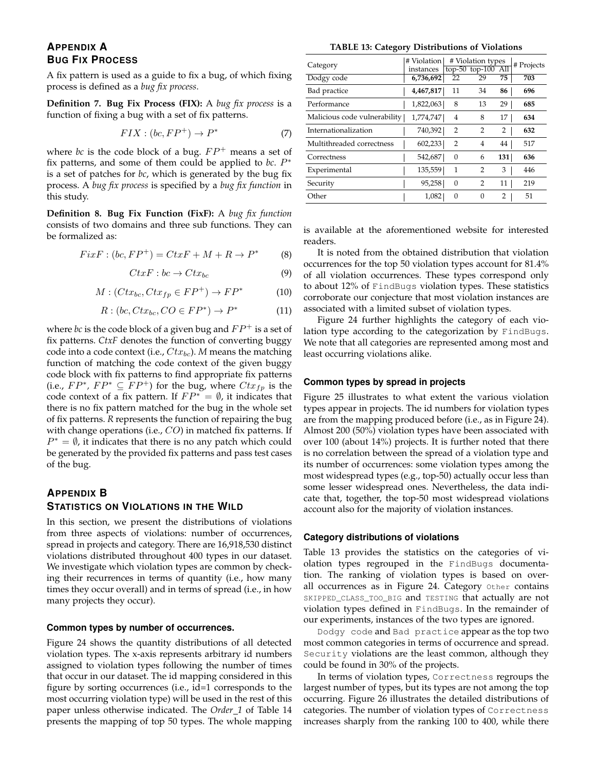# **APPENDIX A BUG FIX PROCESS**

A fix pattern is used as a guide to fix a bug, of which fixing process is defined as a *bug fix process*.

**Definition 7. Bug Fix Process (FIX):** A *bug fix process* is a function of fixing a bug with a set of fix patterns.

$$
FIX : (bc, FP^+) \to P^*
$$
 (7)

where *bc* is the code block of a bug.  $FP^+$  means a set of fix patterns, and some of them could be applied to  $bc$ .  $P^*$ is a set of patches for *bc*, which is generated by the bug fix process. A *bug fix process* is specified by a *bug fix function* in this study.

**Definition 8. Bug Fix Function (FixF):** A *bug fix function* consists of two domains and three sub functions. They can be formalized as:

$$
FixF : (bc, FP^+) = CtxF + M + R \to P^*
$$
 (8)

$$
CtxF : bc \to Ctx_{bc} \tag{9}
$$

$$
M: (Ctx_{bc}, Ctx_{fp} \in FP^+) \to FP^* \tag{10}
$$

$$
R: (bc, Ctx_{bc}, CO \in FP^*) \to P^*
$$
 (11)

where *bc* is the code block of a given bug and  $FP^+$  is a set of fix patterns. *CtxF* denotes the function of converting buggy code into a code context (i.e.,  $Ctx_{bc}$ ). *M* means the matching function of matching the code context of the given buggy code block with fix patterns to find appropriate fix patterns (i.e.,  $FP^*$ ,  $FP^* \subseteq FP^+$ ) for the bug, where  $Ctx_{fp}$  is the code context of a fix pattern. If  $FP^* = \emptyset$ , it indicates that there is no fix pattern matched for the bug in the whole set of fix patterns. *R* represents the function of repairing the bug with change operations (i.e.,  $CO$ ) in matched fix patterns. If  $P^* = \emptyset$ , it indicates that there is no any patch which could be generated by the provided fix patterns and pass test cases of the bug.

# **APPENDIX B STATISTICS ON VIOLATIONS IN THE WILD**

In this section, we present the distributions of violations from three aspects of violations: number of occurrences, spread in projects and category. There are 16,918,530 distinct violations distributed throughout 400 types in our dataset. We investigate which violation types are common by checking their recurrences in terms of quantity (i.e., how many times they occur overall) and in terms of spread (i.e., in how many projects they occur).

#### **Common types by number of occurrences.**

Figure 24 shows the quantity distributions of all detected violation types. The x-axis represents arbitrary id numbers assigned to violation types following the number of times that occur in our dataset. The id mapping considered in this figure by sorting occurrences (i.e., id=1 corresponds to the most occurring violation type) will be used in the rest of this paper unless otherwise indicated. The *Order 1* of Table 14 presents the mapping of top 50 types. The whole mapping

**TABLE 13: Category Distributions of Violations**

| Category                     | # Violation<br>instances |                | # Violation types<br>top-50 top-100 All |                | # Projects |
|------------------------------|--------------------------|----------------|-----------------------------------------|----------------|------------|
| Dodgy code                   | 6,736,692                | 22             | 29                                      | 75             | 703        |
| Bad practice                 | 4,467,817                | 11             | 34                                      | 86             | 696        |
| Performance                  | 1,822,063                | 8              | 13                                      | 29             | 685        |
| Malicious code vulnerability | 1,774,747                | 4              | 8                                       | 17             | 634        |
| Internationalization         | 740,392                  | $\overline{2}$ | $\mathcal{P}$                           | 2              | 632        |
| Multithreaded correctness    | 602,233                  | $\overline{2}$ | 4                                       | 44             | 517        |
| Correctness                  | 542,687                  | $\theta$       | 6                                       | 131            | 636        |
| Experimental                 | 135,559                  | 1              | $\overline{2}$                          | 3              | 446        |
| Security                     | 95,258                   | $\theta$       | 2                                       | 11             | 219        |
| Other                        | 1,082                    | $\Omega$       | $\Omega$                                | $\overline{2}$ | 51         |

is available at the aforementioned website for interested readers.

It is noted from the obtained distribution that violation occurrences for the top 50 violation types account for 81.4% of all violation occurrences. These types correspond only to about 12% of FindBugs violation types. These statistics corroborate our conjecture that most violation instances are associated with a limited subset of violation types.

Figure 24 further highlights the category of each violation type according to the categorization by FindBugs. We note that all categories are represented among most and least occurring violations alike.

#### **Common types by spread in projects**

Figure 25 illustrates to what extent the various violation types appear in projects. The id numbers for violation types are from the mapping produced before (i.e., as in Figure 24). Almost 200 (50%) violation types have been associated with over 100 (about 14%) projects. It is further noted that there is no correlation between the spread of a violation type and its number of occurrences: some violation types among the most widespread types (e.g., top-50) actually occur less than some lesser widespread ones. Nevertheless, the data indicate that, together, the top-50 most widespread violations account also for the majority of violation instances.

#### **Category distributions of violations**

Table 13 provides the statistics on the categories of violation types regrouped in the FindBugs documentation. The ranking of violation types is based on overall occurrences as in Figure 24. Category Other contains SKIPPED\_CLASS\_TOO\_BIG and TESTING that actually are not violation types defined in FindBugs. In the remainder of our experiments, instances of the two types are ignored.

Dodgy code and Bad practice appear as the top two most common categories in terms of occurrence and spread. Security violations are the least common, although they could be found in 30% of the projects.

In terms of violation types, Correctness regroups the largest number of types, but its types are not among the top occurring. Figure 26 illustrates the detailed distributions of categories. The number of violation types of Correctness increases sharply from the ranking 100 to 400, while there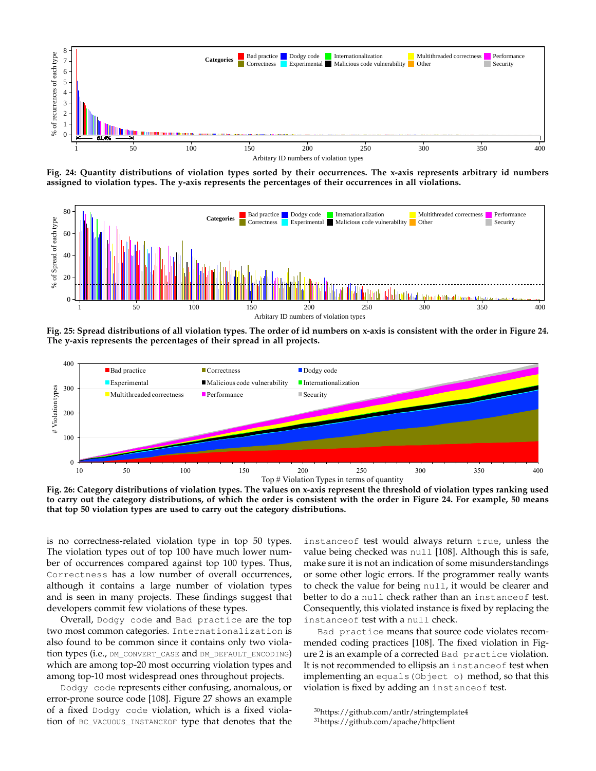

**Fig. 24: Quantity distributions of violation types sorted by their occurrences. The x-axis represents arbitrary id numbers assigned to violation types. The y-axis represents the percentages of their occurrences in all violations.**



**Fig. 25: Spread distributions of all violation types. The order of id numbers on x-axis is consistent with the order in Figure 24. The y-axis represents the percentages of their spread in all projects.**



**Fig. 26: Category distributions of violation types. The values on x-axis represent the threshold of violation types ranking used to carry out the category distributions, of which the order is consistent with the order in Figure 24. For example, 50 means that top 50 violation types are used to carry out the category distributions.**

is no correctness-related violation type in top 50 types. The violation types out of top 100 have much lower number of occurrences compared against top 100 types. Thus, Correctness has a low number of overall occurrences, although it contains a large number of violation types and is seen in many projects. These findings suggest that developers commit few violations of these types.

Overall, Dodgy code and Bad practice are the top two most common categories. Internationalization is also found to be common since it contains only two violation types (i.e., DM\_CONVERT\_CASE and DM\_DEFAULT\_ENCODING) which are among top-20 most occurring violation types and among top-10 most widespread ones throughout projects.

Dodgy code represents either confusing, anomalous, or error-prone source code [108]. Figure 27 shows an example of a fixed Dodgy code violation, which is a fixed violation of BC\_VACUOUS\_INSTANCEOF type that denotes that the

instanceof test would always return true, unless the value being checked was null [108]. Although this is safe, make sure it is not an indication of some misunderstandings or some other logic errors. If the programmer really wants to check the value for being null, it would be clearer and better to do a null check rather than an instance of test. Consequently, this violated instance is fixed by replacing the instanceof test with a null check.

Bad practice means that source code violates recommended coding practices [108]. The fixed violation in Figure 2 is an example of a corrected Bad practice violation. It is not recommended to ellipsis an instanceof test when implementing an equals(Object o) method, so that this violation is fixed by adding an instanceof test.

<sup>30</sup>https://github.com/antlr/stringtemplate4 <sup>31</sup>https://github.com/apache/httpclient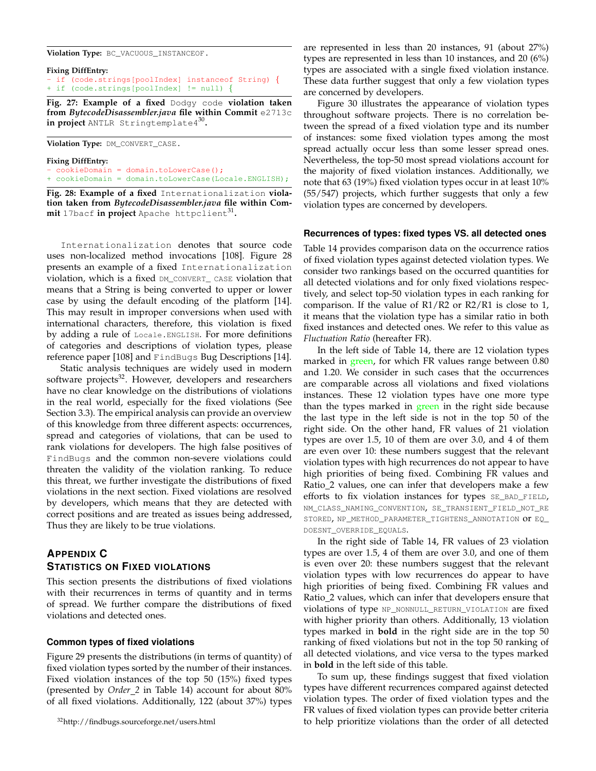**Violation Type:** BC\_VACUOUS\_INSTANCEOF.

|  | Fixing DiffEntry:                                  |  |  |
|--|----------------------------------------------------|--|--|
|  | - if (code.strings[poolIndex] instanceof String) { |  |  |
|  | + if (code.strings[poolIndex] != null) {           |  |  |

**Fig. 27: Example of a fixed** Dodgy code **violation taken from** *BytecodeDisassembler.java* **file within Commit** e2713c **in project** ANTLR Stringtemplate4<sup>30</sup> **.**

**Violation Type:** DM\_CONVERT\_CASE.

**Fixing DiffEntry:** - cookieDomain = domain.toLowerCase(); + cookieDomain = domain.toLowerCase(Locale.ENGLISH);

**Fig. 28: Example of a fixed** Internationalization **violation taken from** *BytecodeDisassembler.java* **file within Com-** $\text{mit 17}$ bacf  $\text{in project}$  Apache <code>httpclient $^{31}$ .</code>

Internationalization denotes that source code uses non-localized method invocations [108]. Figure 28 presents an example of a fixed Internationalization violation, which is a fixed DM\_CONVERT\_ CASE violation that means that a String is being converted to upper or lower case by using the default encoding of the platform [14]. This may result in improper conversions when used with international characters, therefore, this violation is fixed by adding a rule of Locale.ENGLISH. For more definitions of categories and descriptions of violation types, please reference paper [108] and FindBugs Bug Descriptions [14].

Static analysis techniques are widely used in modern software projects<sup>32</sup>. However, developers and researchers have no clear knowledge on the distributions of violations in the real world, especially for the fixed violations (See Section 3.3). The empirical analysis can provide an overview of this knowledge from three different aspects: occurrences, spread and categories of violations, that can be used to rank violations for developers. The high false positives of FindBugs and the common non-severe violations could threaten the validity of the violation ranking. To reduce this threat, we further investigate the distributions of fixed violations in the next section. Fixed violations are resolved by developers, which means that they are detected with correct positions and are treated as issues being addressed, Thus they are likely to be true violations.

# **APPENDIX C STATISTICS ON FIXED VIOLATIONS**

This section presents the distributions of fixed violations with their recurrences in terms of quantity and in terms of spread. We further compare the distributions of fixed violations and detected ones.

## **Common types of fixed violations**

Figure 29 presents the distributions (in terms of quantity) of fixed violation types sorted by the number of their instances. Fixed violation instances of the top 50 (15%) fixed types (presented by *Order 2* in Table 14) account for about 80% of all fixed violations. Additionally, 122 (about 37%) types

are represented in less than 20 instances, 91 (about 27%) types are represented in less than 10 instances, and 20 (6%) types are associated with a single fixed violation instance. These data further suggest that only a few violation types are concerned by developers.

Figure 30 illustrates the appearance of violation types throughout software projects. There is no correlation between the spread of a fixed violation type and its number of instances: some fixed violation types among the most spread actually occur less than some lesser spread ones. Nevertheless, the top-50 most spread violations account for the majority of fixed violation instances. Additionally, we note that 63 (19%) fixed violation types occur in at least 10% (55/547) projects, which further suggests that only a few violation types are concerned by developers.

#### **Recurrences of types: fixed types VS. all detected ones**

Table 14 provides comparison data on the occurrence ratios of fixed violation types against detected violation types. We consider two rankings based on the occurred quantities for all detected violations and for only fixed violations respectively, and select top-50 violation types in each ranking for comparison. If the value of R1/R2 or R2/R1 is close to 1, it means that the violation type has a similar ratio in both fixed instances and detected ones. We refer to this value as *Fluctuation Ratio* (hereafter FR).

In the left side of Table 14, there are 12 violation types marked in green, for which FR values range between 0.80 and 1.20. We consider in such cases that the occurrences are comparable across all violations and fixed violations instances. These 12 violation types have one more type than the types marked in green in the right side because the last type in the left side is not in the top 50 of the right side. On the other hand, FR values of 21 violation types are over 1.5, 10 of them are over 3.0, and 4 of them are even over 10: these numbers suggest that the relevant violation types with high recurrences do not appear to have high priorities of being fixed. Combining FR values and Ratio\_2 values, one can infer that developers make a few efforts to fix violation instances for types SE\_BAD\_FIELD, NM\_CLASS\_NAMING\_CONVENTION, SE\_TRANSIENT\_FIELD\_NOT\_RE STORED, NP\_METHOD\_PARAMETER\_TIGHTENS\_ANNOTATION or EQ\_ DOESNT\_OVERRIDE\_EQUALS.

In the right side of Table 14, FR values of 23 violation types are over 1.5, 4 of them are over 3.0, and one of them is even over 20: these numbers suggest that the relevant violation types with low recurrences do appear to have high priorities of being fixed. Combining FR values and Ratio\_2 values, which can infer that developers ensure that violations of type NP\_NONNULL\_RETURN\_VIOLATION are fixed with higher priority than others. Additionally, 13 violation types marked in **bold** in the right side are in the top 50 ranking of fixed violations but not in the top 50 ranking of all detected violations, and vice versa to the types marked in **bold** in the left side of this table.

To sum up, these findings suggest that fixed violation types have different recurrences compared against detected violation types. The order of fixed violation types and the FR values of fixed violation types can provide better criteria to help prioritize violations than the order of all detected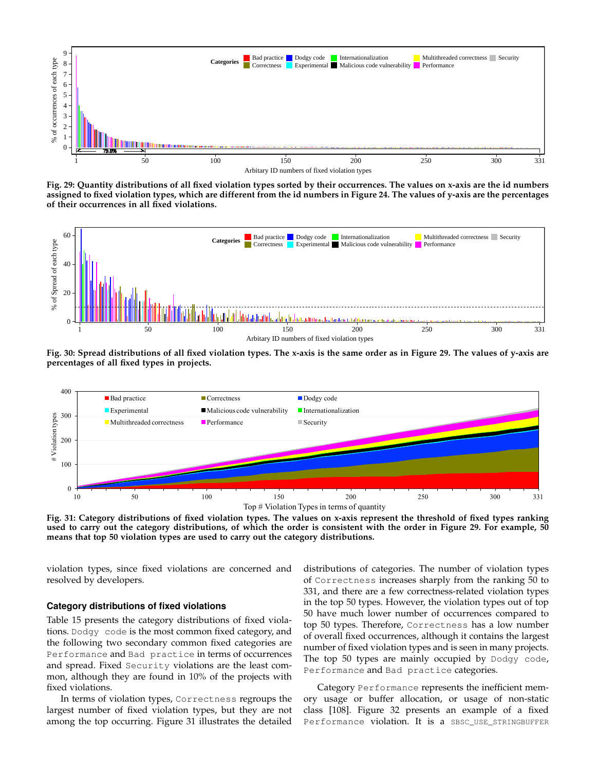

**Fig. 29: Quantity distributions of all fixed violation types sorted by their occurrences. The values on x-axis are the id numbers assigned to fixed violation types, which are different from the id numbers in Figure 24. The values of y-axis are the percentages of their occurrences in all fixed violations.**



**Fig. 30: Spread distributions of all fixed violation types. The x-axis is the same order as in Figure 29. The values of y-axis are percentages of all fixed types in projects.**



**Fig. 31: Category distributions of fixed violation types. The values on x-axis represent the threshold of fixed types ranking used to carry out the category distributions, of which the order is consistent with the order in Figure 29. For example, 50 means that top 50 violation types are used to carry out the category distributions.**

violation types, since fixed violations are concerned and resolved by developers.

#### **Category distributions of fixed violations**

Table 15 presents the category distributions of fixed violations. Dodgy code is the most common fixed category, and the following two secondary common fixed categories are Performance and Bad practice in terms of occurrences and spread. Fixed Security violations are the least common, although they are found in 10% of the projects with fixed violations.

In terms of violation types, Correctness regroups the largest number of fixed violation types, but they are not among the top occurring. Figure 31 illustrates the detailed distributions of categories. The number of violation types of Correctness increases sharply from the ranking 50 to 331, and there are a few correctness-related violation types in the top 50 types. However, the violation types out of top 50 have much lower number of occurrences compared to top 50 types. Therefore, Correctness has a low number of overall fixed occurrences, although it contains the largest number of fixed violation types and is seen in many projects. The top 50 types are mainly occupied by Dodgy code, Performance and Bad practice categories.

Category Performance represents the inefficient memory usage or buffer allocation, or usage of non-static class [108]. Figure 32 presents an example of a fixed Performance violation. It is a SBSC\_USE\_STRINGBUFFER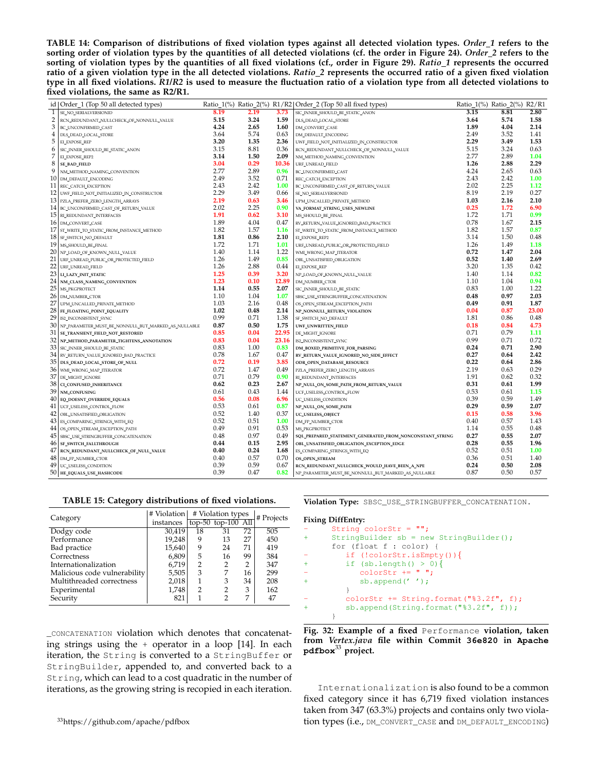**TABLE 14: Comparison of distributions of fixed violation types against all detected violation types.** *Order 1* **refers to the sorting order of violation types by the quantities of all detected violations (cf. the order in Figure 24).** *Order 2* **refers to the sorting of violation types by the quantities of all fixed violations (cf., order in Figure 29).** *Ratio 1* **represents the occurred ratio of a given violation type in the all detected violations.** *Ratio 2* **represents the occurred ratio of a given fixed violation type in all fixed violations.** *R1/R2* **is used to measure the fluctuation ratio of a violation type from all detected violations to fixed violations, the same as R2/R1.**

|                | id   Order_1 (Top 50 all detected types)               |      |      |       | Ratio_1(%) Ratio_2(%) R1/R2   Order_2 (Top 50 all fixed types) | Ratio_1(%) Ratio_2(%) R2/R1 |      |       |
|----------------|--------------------------------------------------------|------|------|-------|----------------------------------------------------------------|-----------------------------|------|-------|
| 1              | SE_NO_SERIALVERSIONID                                  | 8.19 | 2.19 | 3.73  | SIC_INNER_SHOULD_BE_STATIC_ANON                                | 3.15                        | 8.81 | 2.80  |
| 2              | RCN_REDUNDANT_NULLCHECK_OF_NONNULL_VALUE               | 5.15 | 3.24 | 1.59  | DLS_DEAD_LOCAL_STORE                                           | 3.64                        | 5.74 | 1.58  |
| 3              | BC_UNCONFIRMED_CAST                                    | 4.24 | 2.65 | 1.60  | DM_CONVERT_CASE                                                | 1.89                        | 4.04 | 2.14  |
| $\overline{4}$ | DLS_DEAD_LOCAL_STORE                                   | 3.64 | 5.74 | 0.63  | DM_DEFAULT_ENCODING                                            | 2.49                        | 3.52 | 1.41  |
| 5              | EI_EXPOSE_REP                                          | 3.20 | 1.35 | 2.36  | UWF_FIELD_NOT_INITIALIZED_IN_CONSTRUCTOR                       | 2.29                        | 3.49 | 1.53  |
| 6              | SIC_INNER_SHOULD_BE_STATIC_ANON                        | 3.15 | 8.81 | 0.36  | RCN_REDUNDANT_NULLCHECK_OF_NONNULL_VALUE                       | 5.15                        | 3.24 | 0.63  |
| 7              | EI_EXPOSE_REP2                                         | 3.14 | 1.50 | 2.09  | NM_METHOD_NAMING_CONVENTION                                    | 2.77                        | 2.89 | 1.04  |
| 8              | <b>SE_BAD_FIELD</b>                                    | 3.04 | 0.29 | 10.36 | URF_UNREAD_FIELD                                               | 1.26                        | 2.88 | 2.29  |
| 9              | NM_METHOD_NAMING_CONVENTION                            | 2.77 | 2.89 | 0.96  | BC_UNCONFIRMED_CAST                                            | 4.24                        | 2.65 | 0.63  |
|                | 10 DM_DEFAULT_ENCODING                                 | 2.49 | 3.52 | 0.71  | REC_CATCH_EXCEPTION                                            | 2.43                        | 2.42 | 1.00  |
|                | 11 REC_CATCH_EXCEPTION                                 | 2.43 | 2.42 | 1.00  | BC_UNCONFIRMED_CAST_OF_RETURN_VALUE                            | 2.02                        | 2.25 | 1.12  |
|                | 12   UWF_FIELD_NOT_INITIALIZED_IN_CONSTRUCTOR          | 2.29 | 3.49 | 0.66  | SE_NO_SERIALVERSIONID                                          | 8.19                        | 2.19 | 0.27  |
|                | 13   PZLA_PREFER_ZERO_LENGTH_ARRAYS                    | 2.19 | 0.63 | 3.46  | UPM_UNCALLED_PRIVATE_METHOD                                    | 1.03                        | 2.16 | 2.10  |
|                | 14 BC_UNCONFIRMED_CAST_OF_RETURN_VALUE                 | 2.02 | 2.25 | 0.90  | VA_FORMAT_STRING_USES_NEWLINE                                  | 0.25                        | 1.72 | 6.90  |
|                | 15 RI_REDUNDANT_INTERFACES                             | 1.91 | 0.62 | 3.10  | MS_SHOULD_BE_FINAL                                             | 1.72                        | 1.71 | 0.99  |
|                | 16 DM_CONVERT_CASE                                     | 1.89 | 4.04 | 0.47  | RV_RETURN_VALUE_IGNORED_BAD_PRACTICE                           | 0.78                        | 1.67 | 2.15  |
| 17             | ST_WRITE_TO_STATIC_FROM_INSTANCE_METHOD                | 1.82 | 1.57 | 1.16  | ST_WRITE_TO_STATIC_FROM_INSTANCE_METHOD                        | 1.82                        | 1.57 | 0.87  |
|                | 18 SF_SWITCH_NO_DEFAULT                                | 1.81 | 0.86 | 2.10  | EL_EXPOSE_REP2                                                 | 3.14                        | 1.50 | 0.48  |
|                | 19 MS_SHOULD_BE_FINAL                                  | 1.72 | 1.71 | 1.01  | URF_UNREAD_PUBLIC_OR_PROTECTED_FIELD                           | 1.26                        | 1.49 | 1.18  |
|                | 20 NP_LOAD_OF_KNOWN_NULL_VALUE                         | 1.40 | 1.14 | 1.22  | WMI_WRONG_MAP_ITERATOR                                         | 0.72                        | 1.47 | 2.04  |
|                | 21 URF_UNREAD_PUBLIC_OR_PROTECTED_FIELD                | 1.26 | 1.49 | 0.85  | OBL_UNSATISFIED_OBLIGATION                                     | 0.52                        | 1.40 | 2.69  |
| 22             | URF_UNREAD_FIELD                                       | 1.26 | 2.88 | 0.44  | EI_EXPOSE_REP                                                  | 3.20                        | 1.35 | 0.42  |
|                | 23 LI_LAZY_INIT_STATIC                                 | 1.25 | 0.39 | 3.20  | NP_LOAD_OF_KNOWN_NULL_VALUE                                    | 1.40                        | 1.14 | 0.82  |
|                | 24   NM_CLASS_NAMING_CONVENTION                        | 1.23 | 0.10 | 12.89 | DM_NUMBER_CTOR                                                 | 1.10                        | 1.04 | 0.94  |
| 25             | MS_PKGPROTECT                                          | 1.14 | 0.55 | 2.07  | SIC_INNER_SHOULD_BE_STATIC                                     | 0.83                        | 1.00 | 1.22  |
|                | 26 DM_NUMBER_CTOR                                      | 1.10 | 1.04 | 1.07  | SBSC_USE_STRINGBUFFER_CONCATENATION                            | 0.48                        | 0.97 | 2.03  |
| 27             | UPM_UNCALLED_PRIVATE_METHOD                            | 1.03 | 2.16 | 0.48  | OS_OPEN_STREAM_EXCEPTION_PATH                                  | 0.49                        | 0.91 | 1.87  |
|                | 28 FE_FLOATING_POINT_EQUALITY                          | 1.02 | 0.48 | 2.14  | NP_NONNULL_RETURN_VIOLATION                                    | 0.04                        | 0.87 | 23.00 |
| 29             | IS2_INCONSISTENT_SYNC                                  | 0.99 | 0.71 | 1.38  | SF_SWITCH_NO_DEFAULT                                           | 1.81                        | 0.86 | 0.48  |
|                | 30 NP_PARAMETER_MUST_BE_NONNULL_BUT_MARKED_AS_NULLABLE | 0.87 | 0.50 | 1.75  | UWF_UNWRITTEN_FIELD                                            | 0.18                        | 0.84 | 4.73  |
| 31             | SE_TRANSIENT_FIELD_NOT_RESTORED                        | 0.85 | 0.04 | 22.95 | DE_MIGHT_IGNORE                                                | 0.71                        | 0.79 | 1.11  |
| 32             | NP_METHOD_PARAMETER_TIGHTENS_ANNOTATION                | 0.83 | 0.04 | 23.16 | IS2_INCONSISTENT_SYNC                                          | 0.99                        | 0.71 | 0.72  |
| 33             | SIC_INNER_SHOULD_BE_STATIC                             | 0.83 | 1.00 | 0.83  | DM_BOXED_PRIMITIVE_FOR_PARSING                                 | 0.24                        | 0.71 | 2.90  |
|                | 34 RV_RETURN_VALUE_IGNORED_BAD_PRACTICE                | 0.78 | 1.67 | 0.47  | RV_RETURN_VALUE_IGNORED_NO_SIDE_EFFECT                         | 0.27                        | 0.64 | 2.42  |
|                | 35 DLS_DEAD_LOCAL_STORE_OF_NULL                        | 0.72 | 0.19 | 3.85  | ODR_OPEN_DATABASE_RESOURCE                                     | 0.22                        | 0.64 | 2.86  |
|                | 36 WMI_WRONG_MAP_ITERATOR                              | 0.72 | 1.47 | 0.49  | PZLA_PREFER_ZERO_LENGTH_ARRAYS                                 | 2.19                        | 0.63 | 0.29  |
| 37             | DE_MIGHT_IGNORE                                        | 0.71 | 0.79 | 0.90  | RI_REDUNDANT_INTERFACES                                        | 1.91                        | 0.62 | 0.32  |
|                | 38 CL CONFUSED_INHERITANCE                             | 0.62 | 0.23 | 2.67  |                                                                | 0.31                        | 0.61 | 1.99  |
| 39             |                                                        | 0.61 | 0.43 | 1.44  | NP_NULL_ON_SOME_PATH_FROM_RETURN_VALUE                         | 0.53                        | 0.61 | 1.15  |
|                | NM_CONFUSING                                           | 0.56 | 0.08 |       | UCF_USELESS_CONTROL_FLOW                                       | 0.39                        | 0.59 | 1.49  |
|                | 40 EQ_DOESNT_OVERRIDE_EQUALS                           | 0.53 | 0.61 | 6.96  | UC_USELESS_CONDITION                                           | 0.29                        | 0.59 | 2.07  |
| 41             | UCF_USELESS_CONTROL_FLOW                               | 0.52 |      | 0.87  | NP_NULL_ON_SOME_PATH                                           |                             |      | 3.96  |
| 42             | OBL_UNSATISFIED_OBLIGATION                             | 0.52 | 1.40 | 0.37  | UC_USELESS_OBJECT                                              | 0.15                        | 0.58 |       |
| 43             | ES_COMPARING_STRINGS_WITH_EQ                           |      | 0.51 | 1.00  | DM_FP_NUMBER_CTOR                                              | 0.40                        | 0.57 | 1.43  |
| 44             | OS_OPEN_STREAM_EXCEPTION_PATH                          | 0.49 | 0.91 | 0.53  | MS_PKGPROTECT                                                  | 1.14                        | 0.55 | 0.48  |
| 45             | SBSC_USE_STRINGBUFFER_CONCATENATION                    | 0.48 | 0.97 | 0.49  | SQL_PREPARED_STATEMENT_GENERATED_FROM_NONCONSTANT_STRING       | 0.27                        | 0.55 | 2.07  |
| 46             | SF_SWITCH_FALLTHROUGH                                  | 0.44 | 0.15 | 2.95  | OBL_UNSATISFIED_OBLIGATION_EXCEPTION_EDGE                      | 0.28                        | 0.55 | 1.96  |
| 47             | RCN_REDUNDANT_NULLCHECK_OF_NULL_VALUE                  | 0.40 | 0.24 | 1.68  | ES_COMPARING_STRINGS_WITH_EQ                                   | 0.52                        | 0.51 | 1.00  |
|                | 48 DM_FP_NUMBER_CTOR                                   | 0.40 | 0.57 | 0.70  | OS_OPEN_STREAM                                                 | 0.36                        | 0.51 | 1.40  |
|                | 49 UC_USELESS_CONDITION                                | 0.39 | 0.59 | 0.67  | RCN_REDUNDANT_NULLCHECK_WOULD_HAVE_BEEN_A_NPE                  | 0.24                        | 0.50 | 2.08  |
|                | 50   HE_EQUALS_USE_HASHCODE                            | 0.39 | 0.47 | 0.82  | NP_PARAMETER_MUST_BE_NONNULL_BUT_MARKED_AS_NULLABLE            | 0.87                        | 0.50 | 0.57  |

#### **TABLE 15: Category distributions of fixed violations.**

| Category                     | # Violation types<br># Violation |                |                      | # Projects |     |
|------------------------------|----------------------------------|----------------|----------------------|------------|-----|
|                              | instances                        |                | $top-50$ top-100 All |            |     |
| Dodgy code                   | 30,419                           | 18             | 31                   | 72         | 505 |
| Performance                  | 19,248                           | 9              | 13                   | 27         | 450 |
| Bad practice                 | 15,640                           | 9              | 24                   | 71         | 419 |
| Correctness                  | 6,809                            | 5              | 16                   | 99         | 384 |
| Internationalization         | 6,719                            | 2              | 2                    |            | 347 |
| Malicious code vulnerability | 5,505                            | 3              | 7                    | 16         | 299 |
| Multithreaded correctness    | 2,018                            | 1              | 3                    | 34         | 208 |
| Experimental                 | 1,748                            | $\overline{2}$ | 2                    | 3          | 162 |
| Security                     | 821                              |                | 2                    | 7          | 47  |

\_CONCATENATION violation which denotes that concatenating strings using the + operator in a loop [14]. In each iteration, the String is converted to a StringBuffer or StringBuilder, appended to, and converted back to a String, which can lead to a cost quadratic in the number of iterations, as the growing string is recopied in each iteration.

<sup>33</sup>https://github.com/apache/pdfbox

**Violation Type:** SBSC\_USE\_STRINGBUFFER\_CONCATENATION.

#### **Fixing DiffEntry:**

```
String colorStr = " ";
     \frac{1}{\text{StringBuilder}} sb = new StringBuilder();
     for (float f : color) {
        if (!colorStr.isEmpty()){
+ if (sb.length() > 0){
- colorStr += " ";
           sb.append('');
         }
        colorStr += String.format("§3.2f", f);sb.append(String.format("%3.2f", f));
      }
```
**Fig. 32: Example of a fixed** Performance **violation, taken from** *Vertex.java* **file within Commit 36e820 in Apache pdfbox**<sup>33</sup> **project.**

Internationalization is also found to be a common fixed category since it has 6,719 fixed violation instances taken from 347 (63.3%) projects and contains only two violation types (i.e., DM\_CONVERT\_CASE and DM\_DEFAULT\_ENCODING)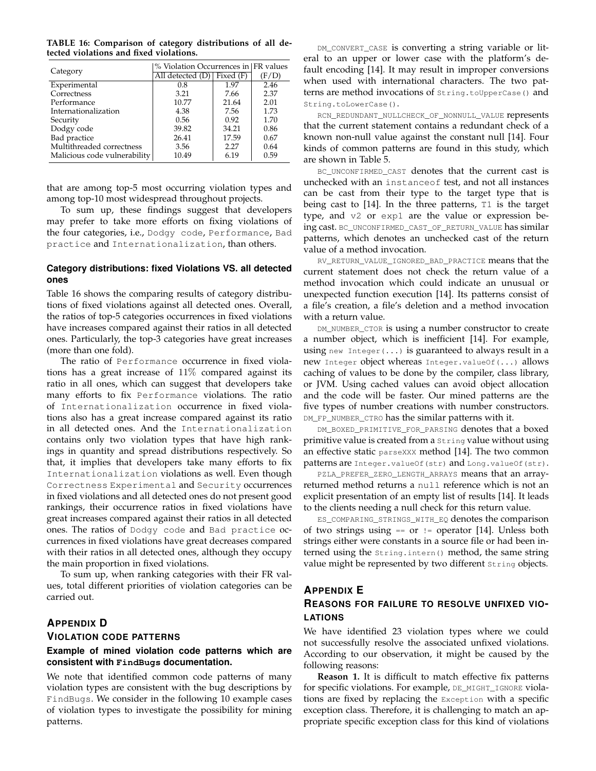**TABLE 16: Comparison of category distributions of all detected violations and fixed violations.**

| Category                     | % Violation Occurrences in FR values |       |       |  |  |
|------------------------------|--------------------------------------|-------|-------|--|--|
|                              | All detected $(D)$ Fixed $(F)$       |       | (F/D) |  |  |
| Experimental                 | 0.8                                  | 1.97  | 2.46  |  |  |
| Correctness                  | 3.21                                 | 7.66  | 2.37  |  |  |
| Performance                  | 10.77                                | 21.64 | 2.01  |  |  |
| Internationalization         | 4.38                                 | 7.56  | 1.73  |  |  |
| Security                     | 0.56                                 | 0.92  | 1.70  |  |  |
| Dodgy code                   | 39.82                                | 34.21 | 0.86  |  |  |
| Bad practice                 | 26.41                                | 17.59 | 0.67  |  |  |
| Multithreaded correctness    | 3.56                                 | 2.27  | 0.64  |  |  |
| Malicious code vulnerability | 10.49                                | 6.19  | 0.59  |  |  |

that are among top-5 most occurring violation types and among top-10 most widespread throughout projects.

To sum up, these findings suggest that developers may prefer to take more efforts on fixing violations of the four categories, i.e., Dodgy code, Performance, Bad practice and Internationalization, than others.

## **Category distributions: fixed Violations VS. all detected ones**

Table 16 shows the comparing results of category distributions of fixed violations against all detected ones. Overall, the ratios of top-5 categories occurrences in fixed violations have increases compared against their ratios in all detected ones. Particularly, the top-3 categories have great increases (more than one fold).

The ratio of Performance occurrence in fixed violations has a great increase of 11% compared against its ratio in all ones, which can suggest that developers take many efforts to fix Performance violations. The ratio of Internationalization occurrence in fixed violations also has a great increase compared against its ratio in all detected ones. And the Internationalization contains only two violation types that have high rankings in quantity and spread distributions respectively. So that, it implies that developers take many efforts to fix Internationalization violations as well. Even though Correctness Experimental and Security occurrences in fixed violations and all detected ones do not present good rankings, their occurrence ratios in fixed violations have great increases compared against their ratios in all detected ones. The ratios of Dodgy code and Bad practice occurrences in fixed violations have great decreases compared with their ratios in all detected ones, although they occupy the main proportion in fixed violations.

To sum up, when ranking categories with their FR values, total different priorities of violation categories can be carried out.

## **APPENDIX D**

### **VIOLATION CODE PATTERNS**

## **Example of mined violation code patterns which are consistent with FindBugs documentation.**

We note that identified common code patterns of many violation types are consistent with the bug descriptions by FindBugs. We consider in the following 10 example cases of violation types to investigate the possibility for mining patterns.

DM\_CONVERT\_CASE is converting a string variable or literal to an upper or lower case with the platform's default encoding [14]. It may result in improper conversions when used with international characters. The two patterns are method invocations of String.toUpperCase() and String.toLowerCase().

RCN\_REDUNDANT\_NULLCHECK\_OF\_NONNULL\_VALUE represents that the current statement contains a redundant check of a known non-null value against the constant null [14]. Four kinds of common patterns are found in this study, which are shown in Table 5.

BC\_UNCONFIRMED\_CAST denotes that the current cast is unchecked with an instanceof test, and not all instances can be cast from their type to the target type that is being cast to [14]. In the three patterns, T1 is the target type, and v2 or exp1 are the value or expression being cast. BC\_UNCONFIRMED\_CAST\_OF\_RETURN\_VALUE has similar patterns, which denotes an unchecked cast of the return value of a method invocation.

RV\_RETURN\_VALUE\_IGNORED\_BAD\_PRACTICE means that the current statement does not check the return value of a method invocation which could indicate an unusual or unexpected function execution [14]. Its patterns consist of a file's creation, a file's deletion and a method invocation with a return value.

DM\_NUMBER\_CTOR is using a number constructor to create a number object, which is inefficient [14]. For example, using new Integer( $\dots$ ) is guaranteed to always result in a new Integer object whereas Integer.valueOf(...) allows caching of values to be done by the compiler, class library, or JVM. Using cached values can avoid object allocation and the code will be faster. Our mined patterns are the five types of number creations with number constructors. DM\_FP\_NUMBER\_CTRO has the similar patterns with it.

DM\_BOXED\_PRIMITIVE\_FOR\_PARSING denotes that a boxed primitive value is created from a String value without using an effective static parseXXX method [14]. The two common patterns are Integer.valueOf(str) and Long.valueOf(str).

PZLA\_PREFER\_ZERO\_LENGTH\_ARRAYS means that an arrayreturned method returns a null reference which is not an explicit presentation of an empty list of results [14]. It leads to the clients needing a null check for this return value.

ES\_COMPARING\_STRINGS\_WITH\_EQ denotes the comparison of two strings using  $==$  or  $!=$  operator [14]. Unless both strings either were constants in a source file or had been interned using the String.intern() method, the same string value might be represented by two different String objects.

# **APPENDIX E REASONS FOR FAILURE TO RESOLVE UNFIXED VIO-LATIONS**

We have identified 23 violation types where we could not successfully resolve the associated unfixed violations. According to our observation, it might be caused by the following reasons:

**Reason 1.** It is difficult to match effective fix patterns for specific violations. For example, DE\_MIGHT\_IGNORE violations are fixed by replacing the Exception with a specific exception class. Therefore, it is challenging to match an appropriate specific exception class for this kind of violations